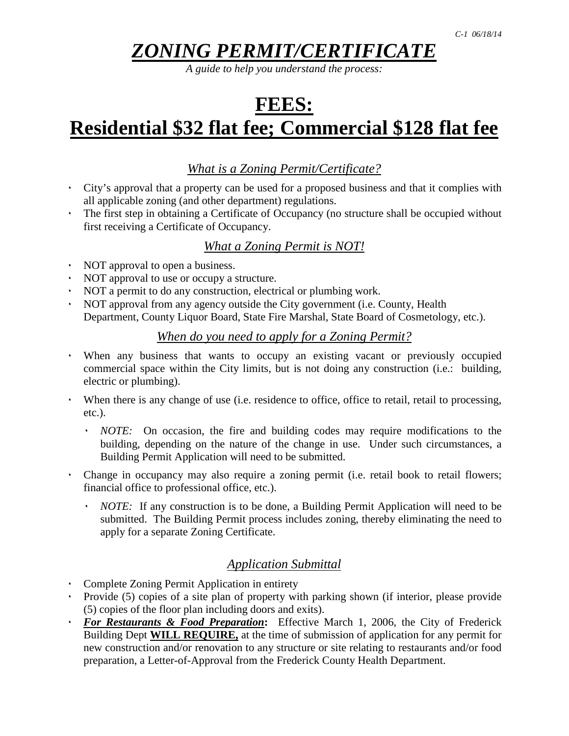# *ZONING PERMIT/CERTIFICATE*

*A guide to help you understand the process:*

# **FEES: Residential \$32 flat fee; Commercial \$128 flat fee**

# *What is a Zoning Permit/Certificate?*

- ۰ City's approval that a property can be used for a proposed business and that it complies with all applicable zoning (and other department) regulations.
- ۰ The first step in obtaining a Certificate of Occupancy (no structure shall be occupied without first receiving a Certificate of Occupancy.

# *What a Zoning Permit is NOT!*

- ۰ NOT approval to open a business.
- ۰ NOT approval to use or occupy a structure.
- ۰ NOT a permit to do any construction, electrical or plumbing work.
- ۰ NOT approval from any agency outside the City government (i.e. County, Health Department, County Liquor Board, State Fire Marshal, State Board of Cosmetology, etc.).

# *When do you need to apply for a Zoning Permit?*

- ۰ When any business that wants to occupy an existing vacant or previously occupied commercial space within the City limits, but is not doing any construction (i.e.: building, electric or plumbing).
- ۰ When there is any change of use (i.e. residence to office, office to retail, retail to processing, etc.).
	- ۰ *NOTE:* On occasion, the fire and building codes may require modifications to the building, depending on the nature of the change in use. Under such circumstances, a Building Permit Application will need to be submitted.
- ۰ Change in occupancy may also require a zoning permit (i.e. retail book to retail flowers; financial office to professional office, etc.).
	- ۰ *NOTE:* If any construction is to be done, a Building Permit Application will need to be submitted. The Building Permit process includes zoning, thereby eliminating the need to apply for a separate Zoning Certificate.

# *Application Submittal*

- ۰ Complete Zoning Permit Application in entirety
- ۰ Provide (5) copies of a site plan of property with parking shown (if interior, please provide (5) copies of the floor plan including doors and exits).
- ۰ *For Restaurants & Food Preparation***:** Effective March 1, 2006, the City of Frederick Building Dept **WILL REQUIRE,** at the time of submission of application for any permit for new construction and/or renovation to any structure or site relating to restaurants and/or food preparation, a Letter-of-Approval from the Frederick County Health Department.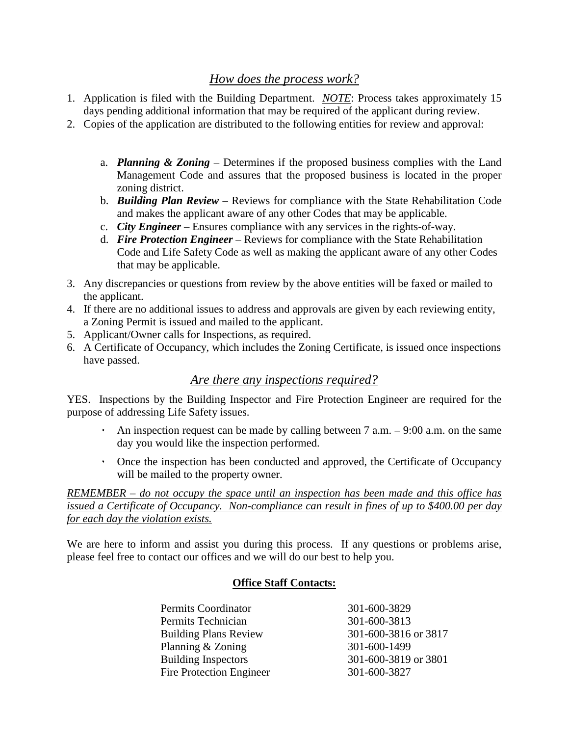# *How does the process work?*

- 1. Application is filed with the Building Department. *NOTE*: Process takes approximately 15 days pending additional information that may be required of the applicant during review.
- 2. Copies of the application are distributed to the following entities for review and approval:
	- a. *Planning & Zoning* Determines if the proposed business complies with the Land Management Code and assures that the proposed business is located in the proper zoning district.
	- b. *Building Plan Review* Reviews for compliance with the State Rehabilitation Code and makes the applicant aware of any other Codes that may be applicable.
	- c. *City Engineer* Ensures compliance with any services in the rights-of-way.
	- d. *Fire Protection Engineer* Reviews for compliance with the State Rehabilitation Code and Life Safety Code as well as making the applicant aware of any other Codes that may be applicable.
- 3. Any discrepancies or questions from review by the above entities will be faxed or mailed to the applicant.
- 4. If there are no additional issues to address and approvals are given by each reviewing entity, a Zoning Permit is issued and mailed to the applicant.
- 5. Applicant/Owner calls for Inspections, as required.
- 6. A Certificate of Occupancy, which includes the Zoning Certificate, is issued once inspections have passed.

# *Are there any inspections required?*

YES. Inspections by the Building Inspector and Fire Protection Engineer are required for the purpose of addressing Life Safety issues.

- An inspection request can be made by calling between  $7$  a.m.  $-9:00$  a.m. on the same day you would like the inspection performed.
- ۰ Once the inspection has been conducted and approved, the Certificate of Occupancy will be mailed to the property owner.

*REMEMBER – do not occupy the space until an inspection has been made and this office has issued a Certificate of Occupancy. Non-compliance can result in fines of up to \$400.00 per day for each day the violation exists.*

We are here to inform and assist you during this process. If any questions or problems arise, please feel free to contact our offices and we will do our best to help you.

#### **Office Staff Contacts:**

| 301-600-3829         |
|----------------------|
| 301-600-3813         |
| 301-600-3816 or 3817 |
| 301-600-1499         |
| 301-600-3819 or 3801 |
| 301-600-3827         |
|                      |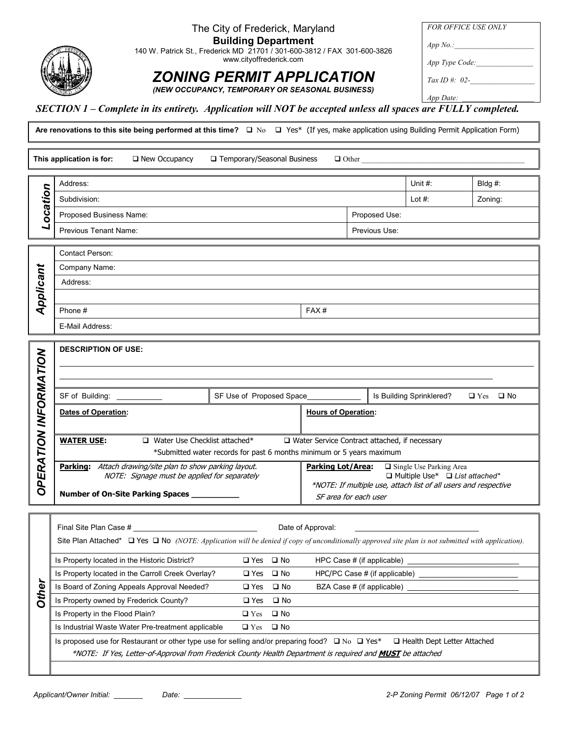#### The City of Frederick, Maryland

Building Department

140 W. Patrick St., Frederick MD 21701 / 301-600-3812 / FAX 301-600-3826 www.cityoffrederick.com

# ZONING PERMIT APPLICATION

(NEW OCCUPANCY, TEMPORARY OR SEASONAL BUSINESS)

FOR OFFICE USE ONLY  $App No.:$ App Type Code: Tax ID #:  $02-$ App Date:

#### SECTION 1 – Complete in its entirety. Application will NOT be accepted unless all spaces are FULLY completed.

Are renovations to this site being performed at this time?  $\Box$  No  $\Box$  Yes\* (If yes, make application using Building Permit Application Form)

This application is for:  $\Box$  New Occupancy □ Temporary/Seasonal Business  $\Box$  Other Address: Unit #: Bldg #: ocation Subdivision: Lot #: Zoning: Proposed Business Name: Name: Proposed Use: Proposed Use: Proposed Use: Proposed Use: Proposed Use: Proposed Use: Proposed Use: Proposed Use: Proposed Use: Proposed Use: Proposed Use: Proposed Use: Proposed Use: Proposed U Previous Tenant Name: **Previous Use:** Previous Use: **Previous Use:** Previous Use: **Previous Use:** Contact Person: Applicant Company Name: Address: Phone  $\#$  FAX  $\#$ E-Mail Address: DESCRIPTION OF USE: OPERATION INFORMATION **OPERATION INFORMATION** \_\_\_\_\_\_\_\_\_\_\_\_\_\_\_\_\_\_\_\_\_\_\_\_\_\_\_\_\_\_\_\_\_\_\_\_\_\_\_\_\_\_\_\_\_\_\_\_\_\_\_\_\_\_\_\_\_\_\_\_\_\_\_\_\_\_\_\_\_\_\_\_\_\_\_\_\_\_\_\_\_\_\_\_\_\_\_\_\_\_\_\_\_\_\_\_\_\_\_\_\_\_\_\_\_\_\_\_\_\_\_\_\_\_\_ \_\_\_\_\_\_\_\_\_\_\_\_\_\_\_\_\_\_\_\_\_\_\_\_\_\_\_\_\_\_\_\_\_\_\_\_\_\_\_\_\_\_\_\_\_\_\_\_\_\_\_\_\_\_\_\_\_\_\_\_\_\_\_\_\_\_\_\_\_\_\_\_\_\_\_\_\_\_\_\_\_\_\_\_\_\_\_\_\_\_\_\_\_\_\_\_\_\_\_\_\_\_\_\_\_ SF of Building: \_\_\_\_\_\_\_\_\_\_\_ SF Use of Proposed Space\_\_\_\_\_\_\_\_\_\_\_\_\_ Is Building Sprinklered? -Yes  $\Box$  No Dates of Operation: Hours of Operation: **WATER USE:**  $\Box$  Water Use Checklist attached\* □ Water Service Contract attached, if necessary \*Submitted water records for past 6 months minimum or 5 years maximum Parking: Attach drawing/site plan to show parking layout.  $\hfill\Box$  Single Use Parking Area Parking Lot/Area: NOTE: Signage must be applied for separately -Multiple Use<sup>\*</sup> □ List attached<sup>\*</sup> \*NOTE: If multiple use, attach list of all users and respective Number of On-Site Parking Spaces \_\_\_\_\_\_\_\_\_\_ SF area for each user Final Site Plan Case # \_\_\_\_\_\_\_\_\_\_\_\_\_\_\_\_\_\_\_\_\_\_\_\_\_\_\_\_\_\_ Date of Approval: \_\_\_\_\_\_\_\_\_\_\_\_\_\_\_\_\_\_\_\_\_\_\_\_\_\_\_\_\_\_ Site Plan Attached\*  $\Box$  Yes  $\Box$  No (NOTE: Application will be denied if copy of unconditionally approved site plan is not submitted with application). HPC Case # (if applicable) Is Property located in the Historic District?  $\Box$  Yes  $\Box$  No Is Property located in the Carroll Creek Overlay?  $\Box$  Yes  $\Box$  No  $HPC/PC$  Case  $#$  (if applicable) **Other** Is Board of Zoning Appeals Approval Needed?  $\Box$  Yes  $\Box$  No BZA Case # (if applicable) Is Property owned by Frederick County?  $\square$  Yes □ No Is Property in the Flood Plain?  $\Box$  Yes □ No Is Industrial Waste Water Pre-treatment applicable  $\Box$  Yes No

Is proposed use for Restaurant or other type use for selling and/or preparing food?  $\Box$  No  $\Box$  Yes\*  $\Box$  Health Dept Letter Attached \*NOTE: If Yes, Letter-of-Approval from Frederick County Health Department is required and MUST be attached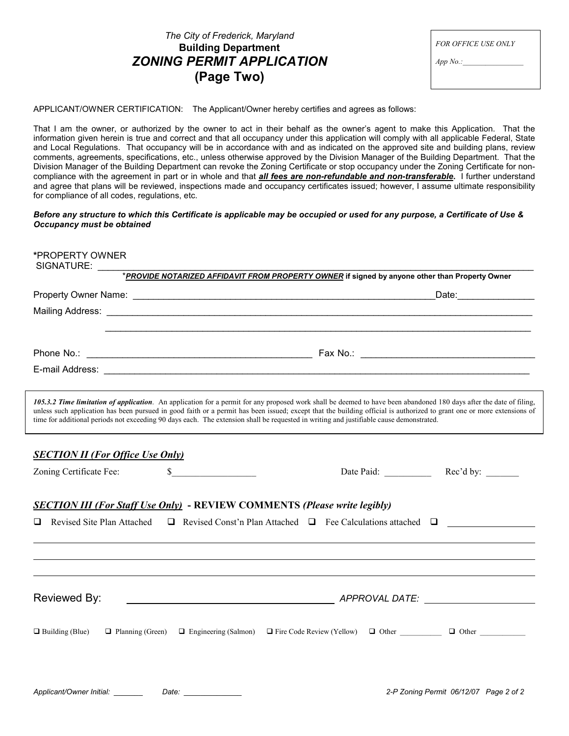| The City of Frederick, Maryland         |  |  |  |  |
|-----------------------------------------|--|--|--|--|
| <b>Building Department</b>              |  |  |  |  |
| <i><b>ZONING PERMIT APPLICATION</b></i> |  |  |  |  |
| (Page Two)                              |  |  |  |  |

| <b>FOR OFFICE USE ONLY</b> |  |
|----------------------------|--|
| App No.                    |  |

APPLICANT/OWNER CERTIFICATION: The Applicant/Owner hereby certifies and agrees as follows:

That I am the owner, or authorized by the owner to act in their behalf as the owner's agent to make this Application. That the information given herein is true and correct and that all occupancy under this application will comply with all applicable Federal, State and Local Regulations. That occupancy will be in accordance with and as indicated on the approved site and building plans, review comments, agreements, specifications, etc., unless otherwise approved by the Division Manager of the Building Department. That the Division Manager of the Building Department can revoke the Zoning Certificate or stop occupancy under the Zoning Certificate for noncompliance with the agreement in part or in whole and that *all fees are non-refundable and non-transferable*. I further understand and agree that plans will be reviewed, inspections made and occupancy certificates issued; however, I assume ultimate responsibility for compliance of all codes, regulations, etc.

Before any structure to which this Certificate is applicable may be occupied or used for any purpose, a Certificate of Use & Occupancy must be obtained

| *PROPERTY OWNER<br>SIGNATURE:                     |                                                                                                                                                                                                                                                                                                                                                                                                                                                                                          |
|---------------------------------------------------|------------------------------------------------------------------------------------------------------------------------------------------------------------------------------------------------------------------------------------------------------------------------------------------------------------------------------------------------------------------------------------------------------------------------------------------------------------------------------------------|
|                                                   | *PROVIDE NOTARIZED AFFIDAVIT FROM PROPERTY OWNER if signed by anyone other than Property Owner                                                                                                                                                                                                                                                                                                                                                                                           |
|                                                   |                                                                                                                                                                                                                                                                                                                                                                                                                                                                                          |
|                                                   |                                                                                                                                                                                                                                                                                                                                                                                                                                                                                          |
|                                                   |                                                                                                                                                                                                                                                                                                                                                                                                                                                                                          |
|                                                   |                                                                                                                                                                                                                                                                                                                                                                                                                                                                                          |
|                                                   |                                                                                                                                                                                                                                                                                                                                                                                                                                                                                          |
|                                                   |                                                                                                                                                                                                                                                                                                                                                                                                                                                                                          |
|                                                   | 105.3.2 Time limitation of application. An application for a permit for any proposed work shall be deemed to have been abandoned 180 days after the date of filing,<br>unless such application has been pursued in good faith or a permit has been issued; except that the building official is authorized to grant one or more extensions of<br>time for additional periods not exceeding 90 days each. The extension shall be requested in writing and justifiable cause demonstrated. |
| <b>SECTION II (For Office Use Only)</b>           |                                                                                                                                                                                                                                                                                                                                                                                                                                                                                          |
| Zoning Certificate Fee:<br>\$                     | Date Paid: Rec'd by:                                                                                                                                                                                                                                                                                                                                                                                                                                                                     |
|                                                   | <b>SECTION III (For Staff Use Only)</b> - REVIEW COMMENTS (Please write legibly)                                                                                                                                                                                                                                                                                                                                                                                                         |
| Revised Site Plan Attached<br>ப                   | $\Box$ Revised Const'n Plan Attached $\Box$ Fee Calculations attached $\Box$                                                                                                                                                                                                                                                                                                                                                                                                             |
|                                                   |                                                                                                                                                                                                                                                                                                                                                                                                                                                                                          |
|                                                   |                                                                                                                                                                                                                                                                                                                                                                                                                                                                                          |
|                                                   |                                                                                                                                                                                                                                                                                                                                                                                                                                                                                          |
| Reviewed By:                                      |                                                                                                                                                                                                                                                                                                                                                                                                                                                                                          |
| $\Box$ Building (Blue)<br>$\Box$ Planning (Green) | $\Box$ Fire Code Review (Yellow) $\Box$ Other $\Box$ Other<br>$\Box$ Engineering (Salmon)                                                                                                                                                                                                                                                                                                                                                                                                |
|                                                   |                                                                                                                                                                                                                                                                                                                                                                                                                                                                                          |

| Applicant/Owner Initial: | Date: |  |
|--------------------------|-------|--|
|                          |       |  |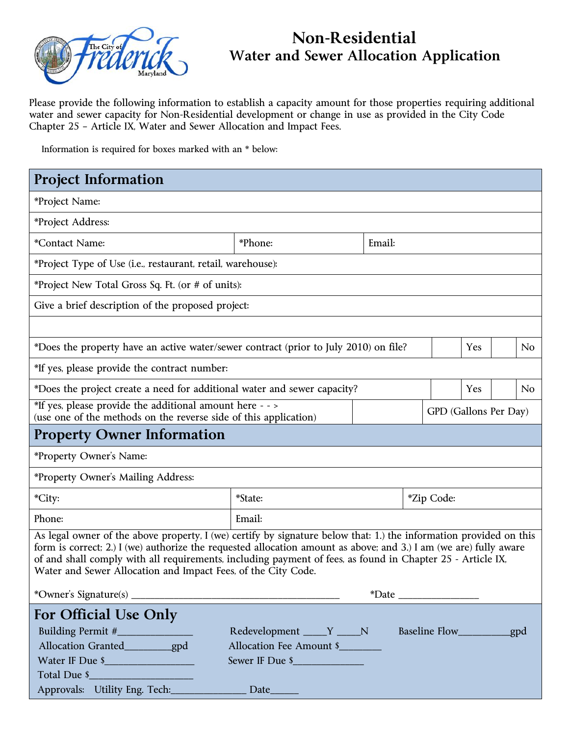

# **Non-Residential Water and Sewer Allocation Application**

Please provide the following information to establish a capacity amount for those properties requiring additional water and sewer capacity for Non-Residential development or change in use as provided in the City Code Chapter 25 – Article IX, Water and Sewer Allocation and Impact Fees.

Information is required for boxes marked with an \* below:

| <b>Project Information</b>                                                                                                                                                                                                                                                                                                                                                                                             |                                                                            |        |                             |  |                |
|------------------------------------------------------------------------------------------------------------------------------------------------------------------------------------------------------------------------------------------------------------------------------------------------------------------------------------------------------------------------------------------------------------------------|----------------------------------------------------------------------------|--------|-----------------------------|--|----------------|
| *Project Name:                                                                                                                                                                                                                                                                                                                                                                                                         |                                                                            |        |                             |  |                |
| *Project Address:                                                                                                                                                                                                                                                                                                                                                                                                      |                                                                            |        |                             |  |                |
| *Contact Name:                                                                                                                                                                                                                                                                                                                                                                                                         | *Phone:                                                                    | Email: |                             |  |                |
| *Project Type of Use (i.e., restaurant, retail, warehouse):                                                                                                                                                                                                                                                                                                                                                            |                                                                            |        |                             |  |                |
| *Project New Total Gross Sq. Ft. (or # of units):                                                                                                                                                                                                                                                                                                                                                                      |                                                                            |        |                             |  |                |
| Give a brief description of the proposed project:                                                                                                                                                                                                                                                                                                                                                                      |                                                                            |        |                             |  |                |
|                                                                                                                                                                                                                                                                                                                                                                                                                        |                                                                            |        |                             |  |                |
| *Does the property have an active water/sewer contract (prior to July 2010) on file?                                                                                                                                                                                                                                                                                                                                   |                                                                            |        | Yes                         |  | N <sub>0</sub> |
| *If yes, please provide the contract number:                                                                                                                                                                                                                                                                                                                                                                           |                                                                            |        |                             |  |                |
| *Does the project create a need for additional water and sewer capacity?                                                                                                                                                                                                                                                                                                                                               |                                                                            |        | Yes                         |  | No             |
| *If yes, please provide the additional amount here - - ><br>(use one of the methods on the reverse side of this application)                                                                                                                                                                                                                                                                                           |                                                                            |        | GPD (Gallons Per Day)       |  |                |
| <b>Property Owner Information</b>                                                                                                                                                                                                                                                                                                                                                                                      |                                                                            |        |                             |  |                |
| *Property Owner's Name:                                                                                                                                                                                                                                                                                                                                                                                                |                                                                            |        |                             |  |                |
| *Property Owner's Mailing Address:                                                                                                                                                                                                                                                                                                                                                                                     |                                                                            |        |                             |  |                |
| *City:                                                                                                                                                                                                                                                                                                                                                                                                                 | *State:                                                                    |        | <i>*Zip</i> Code:           |  |                |
| Phone:                                                                                                                                                                                                                                                                                                                                                                                                                 | Email:                                                                     |        |                             |  |                |
| As legal owner of the above property, I (we) certify by signature below that: 1.) the information provided on this<br>form is correct; 2.) I (we) authorize the requested allocation amount as above; and 3.) I am (we are) fully aware<br>of and shall comply with all requirements, including payment of fees, as found in Chapter 25 - Article IX,<br>Water and Sewer Allocation and Impact Fees, of the City Code. |                                                                            |        |                             |  |                |
|                                                                                                                                                                                                                                                                                                                                                                                                                        |                                                                            |        |                             |  |                |
| For Official Use Only<br>Building Permit #____________<br>Allocation Granted___________gpd<br>Water IF Due \$<br>Total Due \$                                                                                                                                                                                                                                                                                          | Redevelopment _____Y _____N<br>Allocation Fee Amount \$<br>Sewer IF Due \$ |        | Baseline Flow___________gpd |  |                |
| Approvals: Utility Eng. Tech:                                                                                                                                                                                                                                                                                                                                                                                          | Date_                                                                      |        |                             |  |                |